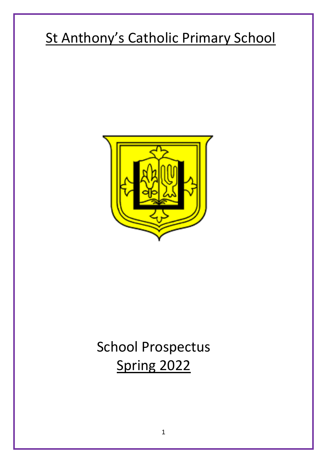# St Anthony's Catholic Primary School



# School Prospectus Spring 2022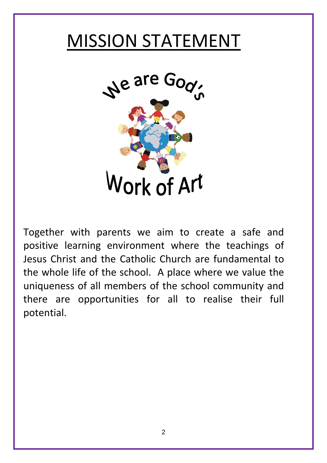# MISSION STATEMENT



Together with parents we aim to create a safe and positive learning environment where the teachings of Jesus Christ and the Catholic Church are fundamental to the whole life of the school. A place where we value the uniqueness of all members of the school community and there are opportunities for all to realise their full potential.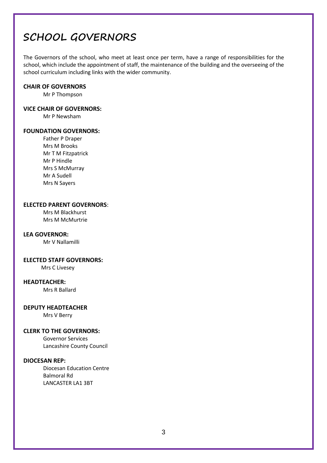## **SCHOOL GOVERNORS**

The Governors of the school, who meet at least once per term, have a range of responsibilities for the school, which include the appointment of staff, the maintenance of the building and the overseeing of the school curriculum including links with the wider community.

#### **CHAIR OF GOVERNORS**

Mr P Thompson

#### **VICE CHAIR OF GOVERNORS:**

Mr P Newsham

### **FOUNDATION GOVERNORS:**

Father P Draper Mrs M Brooks Mr T M Fitzpatrick Mr P Hindle Mrs S McMurray Mr A Sudell Mrs N Sayers

### **ELECTED PARENT GOVERNORS**:

Mrs M Blackhurst Mrs M McMurtrie

#### **LEA GOVERNOR:**

Mr V Nallamilli

#### **ELECTED STAFF GOVERNORS:**

Mrs C Livesey

### **HEADTEACHER:**

Mrs R Ballard

#### **DEPUTY HEADTEACHER**

Mrs V Berry

### **CLERK TO THE GOVERNORS:**

Governor Services Lancashire County Council

## **DIOCESAN REP:**

Diocesan Education Centre Balmoral Rd LANCASTER LA1 3BT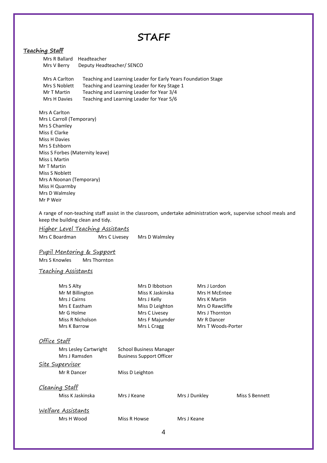## **STAFF**

## **Teaching Staff**

| Mrs R Ballard Headteacher |                                                               |
|---------------------------|---------------------------------------------------------------|
| Mrs V Berry               | Deputy Headteacher/ SENCO                                     |
|                           |                                                               |
| Mrs A Carlton             | Teaching and Learning Leader for Early Years Foundation Stage |

| Mrs S Noblett | Teaching and Learning Leader for Key Stage 1 |
|---------------|----------------------------------------------|
| Mr T Martin   | Teaching and Learning Leader for Year 3/4    |
| Mrs H Davies  | Teaching and Learning Leader for Year 5/6    |

Mrs A Carlton Mrs L Carroll (Temporary) Mrs S Chamley Miss E Clarke Miss H Davies Mrs S Eshborn Miss S Forbes (Maternity leave) Miss L Martin Mr T Martin Miss S Noblett Mrs A Noonan (Temporary) Miss H Quarmby Mrs D Walmsley Mr P Weir

A range of non-teaching staff assist in the classroom, undertake administration work, supervise school meals and keep the building clean and tidy.

Higher Level Teaching Assistants Mrs C Boardman Mrs C Livesey Mrs D Walmsley

### Pupil Mentoring & Support

Mrs S Knowles Mrs Thornton

#### Teaching Assistants

| Mrs S Alty                | Mrs D Ibbotson                  | Mrs J Lordon       |                |
|---------------------------|---------------------------------|--------------------|----------------|
| Mr M Billington           | Miss K Jaskinska                | Mrs H McEntee      |                |
| Mrs J Cairns              | Mrs J Kelly                     | Mrs K Martin       |                |
| Mrs E Eastham             | Miss D Leighton                 | Mrs O Rawcliffe    |                |
| Mr G Holme                | Mrs C Livesey                   | Mrs J Thornton     |                |
| Miss R Nicholson          | Mrs F Majumder                  | Mr R Dancer        |                |
| Mrs K Barrow              | Mrs L Cragg                     | Mrs T Woods-Porter |                |
| Office Staff              |                                 |                    |                |
| Mrs Lesley Cartwright     | School Business Manager         |                    |                |
| Mrs J Ramsden             | <b>Business Support Officer</b> |                    |                |
| <u> Site Supervisor</u>   |                                 |                    |                |
| Mr R Dancer               | Miss D Leighton                 |                    |                |
| <u>Cleaning Staff</u>     |                                 |                    |                |
| Miss K Jaskinska          | Mrs J Keane                     | Mrs J Dunkley      | Miss S Bennett |
| <u>Welfare Assistants</u> |                                 |                    |                |
| Mrs H Wood                | Miss R Howse                    | Mrs J Keane        |                |
|                           |                                 |                    |                |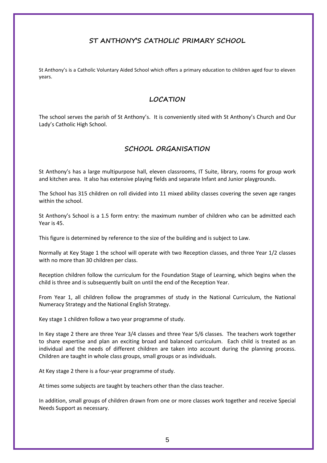## **ST ANTHONY'S CATHOLIC PRIMARY SCHOOL**

St Anthony's is a Catholic Voluntary Aided School which offers a primary education to children aged four to eleven years.

## **LOCATION**

The school serves the parish of St Anthony's. It is conveniently sited with St Anthony's Church and Our Lady's Catholic High School.

## **SCHOOL ORGANISATION**

St Anthony's has a large multipurpose hall, eleven classrooms, IT Suite, library, rooms for group work and kitchen area. It also has extensive playing fields and separate Infant and Junior playgrounds.

The School has 315 children on roll divided into 11 mixed ability classes covering the seven age ranges within the school.

St Anthony's School is a 1.5 form entry: the maximum number of children who can be admitted each Year is 45.

This figure is determined by reference to the size of the building and is subject to Law.

Normally at Key Stage 1 the school will operate with two Reception classes, and three Year 1/2 classes with no more than 30 children per class.

Reception children follow the curriculum for the Foundation Stage of Learning, which begins when the child is three and is subsequently built on until the end of the Reception Year.

From Year 1, all children follow the programmes of study in the National Curriculum, the National Numeracy Strategy and the National English Strategy.

Key stage 1 children follow a two year programme of study.

In Key stage 2 there are three Year 3/4 classes and three Year 5/6 classes. The teachers work together to share expertise and plan an exciting broad and balanced curriculum. Each child is treated as an individual and the needs of different children are taken into account during the planning process. Children are taught in whole class groups, small groups or as individuals.

At Key stage 2 there is a four-year programme of study.

At times some subjects are taught by teachers other than the class teacher.

In addition, small groups of children drawn from one or more classes work together and receive Special Needs Support as necessary.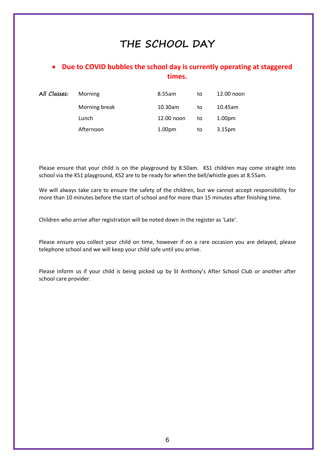## **THE SCHOOL DAY**

## • **Due to COVID bubbles the school day is currently operating at staggered times.**

| All Classes: | Morning       | 8.55am             | to | 12.00 noon         |
|--------------|---------------|--------------------|----|--------------------|
|              | Morning break | 10.30am            | to | 10.45am            |
|              | Lunch         | 12.00 noon         | to | 1.00 <sub>pm</sub> |
|              | Afternoon     | 1.00 <sub>pm</sub> | to | 3.15 <sub>pm</sub> |

Please ensure that your child is on the playground by 8.50am. KS1 children may come straight into school via the KS1 playground, KS2 are to be ready for when the bell/whistle goes at 8.55am.

We will always take care to ensure the safety of the children, but we cannot accept responsibility for more than 10 minutes before the start of school and for more than 15 minutes after finishing time.

Children who arrive after registration will be noted down in the register as 'Late'.

Please ensure you collect your child on time, however if on a rare occasion you are delayed, please telephone school and we will keep your child safe until you arrive.

Please inform us if your child is being picked up by St Anthony's After School Club or another after school care provider.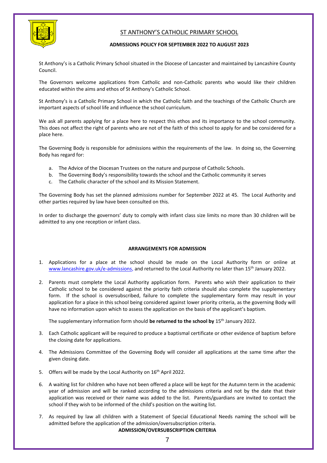

## ST ANTHONY'S CATHOLIC PRIMARY SCHOOL

#### **ADMISSIONS POLICY FOR SEPTEMBER 2022 TO AUGUST 2023**

St Anthony's is a Catholic Primary School situated in the Diocese of Lancaster and maintained by Lancashire County Council.

The Governors welcome applications from Catholic and non-Catholic parents who would like their children educated within the aims and ethos of St Anthony's Catholic School.

St Anthony's is a Catholic Primary School in which the Catholic faith and the teachings of the Catholic Church are important aspects of school life and influence the school curriculum.

We ask all parents applying for a place here to respect this ethos and its importance to the school community. This does not affect the right of parents who are not of the faith of this school to apply for and be considered for a place here.

The Governing Body is responsible for admissions within the requirements of the law. In doing so, the Governing Body has regard for:

- a. The Advice of the Diocesan Trustees on the nature and purpose of Catholic Schools.
- b. The Governing Body's responsibility towards the school and the Catholic community it serves
- c. The Catholic character of the school and its Mission Statement.

The Governing Body has set the planned admissions number for September 2022 at 45. The Local Authority and other parties required by law have been consulted on this.

In order to discharge the governors' duty to comply with infant class size limits no more than 30 children will be admitted to any one reception or infant class.

### **ARRANGEMENTS FOR ADMISSION**

- 1. Applications for a place at the school should be made on the Local Authority form or online at [www.lancashire.gov.uk/e-admissions,](http://www.lancashire.gov.uk/e-admissions) and returned to the Local Authority no later than 15th January 2022.
- 2. Parents must complete the Local Authority application form. Parents who wish their application to their Catholic school to be considered against the priority faith criteria should also complete the supplementary form. If the school is oversubscribed, failure to complete the supplementary form may result in your application for a place in this school being considered against lower priority criteria, as the governing Body will have no information upon which to assess the application on the basis of the applicant's baptism.

The supplementary information form should be returned to the school by 15<sup>th</sup> January 2022.

- 3. Each Catholic applicant will be required to produce a baptismal certificate or other evidence of baptism before the closing date for applications.
- 4. The Admissions Committee of the Governing Body will consider all applications at the same time after the given closing date.
- 5. Offers will be made by the Local Authority on  $16<sup>th</sup>$  April 2022.
- 6. A waiting list for children who have not been offered a place will be kept for the Autumn term in the academic year of admission and will be ranked according to the admissions criteria and not by the date that their application was received or their name was added to the list. Parents/guardians are invited to contact the school if they wish to be informed of the child's position on the waiting list.
- 7. As required by law all children with a Statement of Special Educational Needs naming the school will be admitted before the application of the admission/oversubscription criteria. **ADMISSION/OVERSUBSCRIPTION CRITERIA**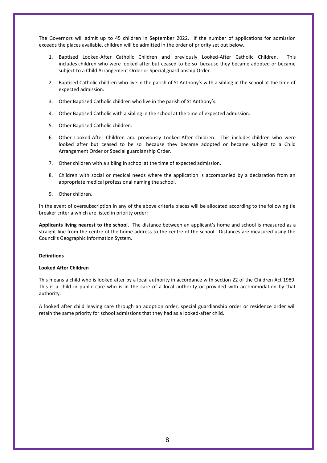The Governors will admit up to 45 children in September 2022. If the number of applications for admission exceeds the places available, children will be admitted in the order of priority set out below.

- 1. Baptised Looked-After Catholic Children and previously Looked-After Catholic Children. This includes children who were looked after but ceased to be so because they became adopted or became subject to a Child Arrangement Order or Special guardianship Order.
- 2. Baptised Catholic children who live in the parish of St Anthony's with a sibling in the school at the time of expected admission.
- 3. Other Baptised Catholic children who live in the parish of St Anthony's.
- 4. Other Baptised Catholic with a sibling in the school at the time of expected admission.
- 5. Other Baptised Catholic children.
- 6. Other Looked-After Children and previously Looked-After Children. This includes children who were looked after but ceased to be so because they became adopted or became subject to a Child Arrangement Order or Special guardianship Order.
- 7. Other children with a sibling in school at the time of expected admission.
- 8. Children with social or medical needs where the application is accompanied by a declaration from an appropriate medical professional naming the school.
- 9. Other children.

In the event of oversubscription in any of the above criteria places will be allocated according to the following tie breaker criteria which are listed in priority order:

**Applicants living nearest to the school**. The distance between an applicant's home and school is measured as a straight line from the centre of the home address to the centre of the school. Distances are measured using the Council's Geographic Information System.

#### **Definitions**

#### **Looked After Children**

This means a child who is looked after by a local authority in accordance with section 22 of the Children Act 1989. This is a child in public care who is in the care of a local authority or provided with accommodation by that authority.

A looked after child leaving care through an adoption order, special guardianship order or residence order will retain the same priority for school admissions that they had as a looked-after child.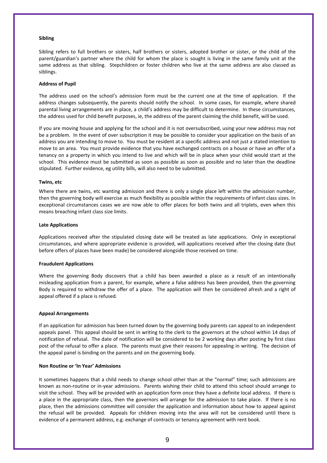#### **Sibling**

Sibling refers to full brothers or sisters, half brothers or sisters, adopted brother or sister, or the child of the parent/guardian's partner where the child for whom the place is sought is living in the same family unit at the same address as that sibling. Stepchildren or foster children who live at the same address are also classed as siblings.

#### **Address of Pupil**

The address used on the school's admission form must be the current one at the time of application. If the address changes subsequently, the parents should notify the school. In some cases, for example, where shared parental living arrangements are in place, a child's address may be difficult to determine. In these circumstances, the address used for child benefit purposes, ie, the address of the parent claiming the child benefit, will be used.

If you are moving house and applying for the school and it is not oversubscribed, using your new address may not be a problem. In the event of over subscription it may be possible to consider your application on the basis of an address you are intending to move to. You must be resident at a specific address and not just a stated intention to move to an area. You must provide evidence that you have exchanged contracts on a house or have an offer of a tenancy on a property in which you intend to live and which will be in place when your child would start at the school. This evidence must be submitted as soon as possible as soon as possible and no later than the deadline stipulated. Further evidence, eg utility bills, will also need to be submitted.

#### **Twins, etc**

Where there are twins, etc wanting admission and there is only a single place left within the admission number, then the governing body will exercise as much flexibility as possible within the requirements of infant class sizes. In exceptional circumstances cases we are now able to offer places for both twins and all triplets, even when this means breaching infant class size limits.

#### **Late Applications**

Applications received after the stipulated closing date will be treated as late applications. Only in exceptional circumstances, and where appropriate evidence is provided, will applications received after the closing date (but before offers of places have been made) be considered alongside those received on time.

#### **Fraudulent Applications**

Where the governing Body discovers that a child has been awarded a place as a result of an intentionally misleading application from a parent, for example, where a false address has been provided, then the governing Body is required to withdraw the offer of a place. The application will then be considered afresh and a right of appeal offered if a place is refused.

#### **Appeal Arrangements**

If an application for admission has been turned down by the governing body parents can appeal to an independent appeals panel. This appeal should be sent in writing to the clerk to the governors at the school within 14 days of notification of refusal. The date of notification will be considered to be 2 working days after posting by first class post of the refusal to offer a place. The parents must give their reasons for appealing in writing. The decision of the appeal panel is binding on the parents and on the governing body.

#### **Non Routine or 'In Year' Admissions**

It sometimes happens that a child needs to change school other than at the "normal" time; such admissions are known as non-routine or in-year admissions. Parents wishing their child to attend this school should arrange to visit the school. They will be provided with an application form once they have a definite local address. If there is a place in the appropriate class, then the governors will arrange for the admission to take place. If there is no place, then the admissions committee will consider the application and information about how to appeal against the refusal will be provided. Appeals for children moving into the area will not be considered until there is evidence of a permanent address, e.g. exchange of contracts or tenancy agreement with rent book.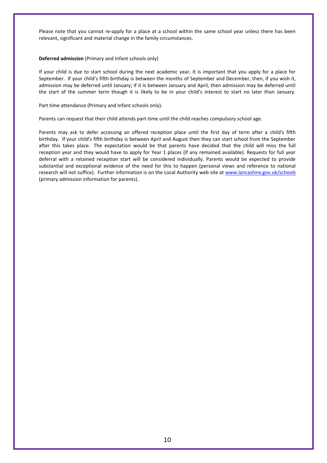Please note that you cannot re-apply for a place at a school within the same school year unless there has been relevant, significant and material change in the family circumstances.

#### **Deferred admission** (Primary and Infant schools only)

If your child is due to start school during the next academic year, it is important that you apply for a place for September. If your child's fifth birthday is between the months of September and December, then, if you wish it, admission may be deferred until January; if it is between January and April, then admission may be deferred until the start of the summer term though it is likely to be in your child's interest to start no later than January.

Part time attendance (Primary and Infant schools only).

Parents can request that their child attends part-time until the child reaches compulsory school age.

Parents may ask to defer accessing an offered reception place until the first day of term after a child's fifth birthday. If your child's fifth birthday is between April and August then they can start school from the September after this takes place. The expectation would be that parents have decided that the child will miss the full reception year and they would have to apply for Year 1 places (if any remained available). Requests for full year deferral with a retained reception start will be considered individually. Parents would be expected to provide substantial and exceptional evidence of the need for this to happen (personal views and reference to national research will not suffice). Further information is on the Local Authority web site at [www.lancashire.gov.uk/schools](http://www.lancashire.gov.uk/schools) (primary admission information for parents).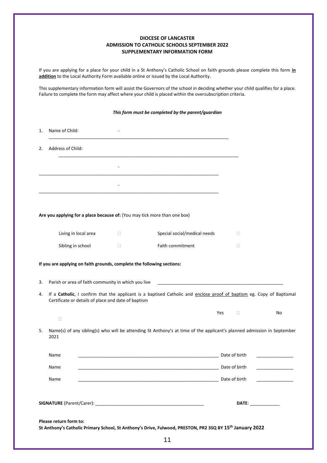#### **DIOCESE OF LANCASTER ADMISSION TO CATHOLIC SCHOOLS SEPTEMBER 2022 SUPPLEMENTARY INFORMATION FORM**

If you are applying for a place for your child in a St Anthony's Catholic School on faith grounds please complete this form **in addition** to the Local Authority Form available online or issued by the Local Authority.

This supplementary information form will assist the Governors of the school in deciding whether your child qualifies for a place. Failure to complete the form may affect where your child is placed within the oversubscription criteria.

|                                                                           |        | This form must be completed by the parent/guardian                                                                     |     |                       |                                         |
|---------------------------------------------------------------------------|--------|------------------------------------------------------------------------------------------------------------------------|-----|-----------------------|-----------------------------------------|
| Name of Child:<br>1.                                                      |        |                                                                                                                        |     |                       |                                         |
| Address of Child:<br>2.                                                   |        |                                                                                                                        |     |                       |                                         |
|                                                                           |        |                                                                                                                        |     |                       |                                         |
|                                                                           |        |                                                                                                                        |     |                       |                                         |
|                                                                           |        |                                                                                                                        |     |                       |                                         |
| Are you applying for a place because of: (You may tick more than one box) |        |                                                                                                                        |     |                       |                                         |
| Living in local area                                                      | $\Box$ | Special social/medical needs                                                                                           |     | $\Box$                |                                         |
| Sibling in school                                                         | $\Box$ | Faith commitment                                                                                                       |     | O                     |                                         |
| Certificate or details of place and date of baptism                       |        | If a Catholic, I confirm that the applicant is a baptised Catholic and enclose proof of baptism eg. Copy of Baptismal  | Yes | $\Box$                | No                                      |
| $\Box$                                                                    |        |                                                                                                                        |     |                       |                                         |
| 5.<br>2021                                                                |        | Name(s) of any sibling(s) who will be attending St Anthony's at time of the applicant's planned admission in September |     |                       |                                         |
| Name                                                                      |        |                                                                                                                        |     | Date of birth         |                                         |
| Name                                                                      |        |                                                                                                                        |     |                       | <u> 1989 - Johann Barbara, martin a</u> |
| Name                                                                      |        |                                                                                                                        |     |                       |                                         |
|                                                                           |        |                                                                                                                        |     | DATE: _______________ |                                         |
| Please return form to:                                                    |        |                                                                                                                        |     |                       |                                         |
|                                                                           |        | St Anthony's Catholic Primary School, St Anthony's Drive, Fulwood, PRESTON, PR2 3SQ BY 15th January 2022               |     |                       |                                         |
|                                                                           |        | 11                                                                                                                     |     |                       |                                         |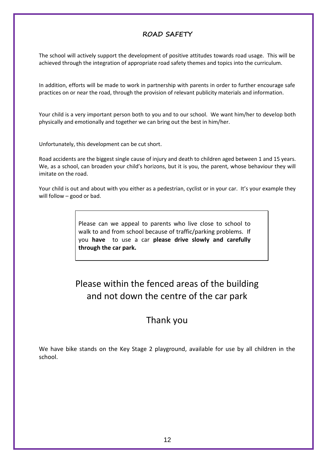## **ROAD SAFETY**

The school will actively support the development of positive attitudes towards road usage. This will be achieved through the integration of appropriate road safety themes and topics into the curriculum.

In addition, efforts will be made to work in partnership with parents in order to further encourage safe practices on or near the road, through the provision of relevant publicity materials and information.

Your child is a very important person both to you and to our school. We want him/her to develop both physically and emotionally and together we can bring out the best in him/her.

Unfortunately, this development can be cut short.

Road accidents are the biggest single cause of injury and death to children aged between 1 and 15 years. We, as a school, can broaden your child's horizons, but it is you, the parent, whose behaviour they will imitate on the road.

Your child is out and about with you either as a pedestrian, cyclist or in your car. It's your example they will follow – good or bad.

> Please can we appeal to parents who live close to school to walk to and from school because of traffic/parking problems. If you **have** to use a car **please drive slowly and carefully through the car park.**

## Please within the fenced areas of the building and not down the centre of the car park

## Thank you

We have bike stands on the Key Stage 2 playground, available for use by all children in the school.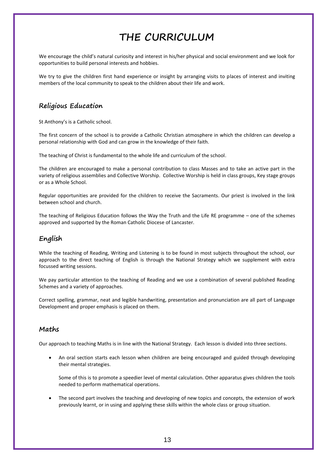## **THE CURRICULUM**

We encourage the child's natural curiosity and interest in his/her physical and social environment and we look for opportunities to build personal interests and hobbies.

We try to give the children first hand experience or insight by arranging visits to places of interest and inviting members of the local community to speak to the children about their life and work.

## **Religious Education**

St Anthony's is a Catholic school.

The first concern of the school is to provide a Catholic Christian atmosphere in which the children can develop a personal relationship with God and can grow in the knowledge of their faith.

The teaching of Christ is fundamental to the whole life and curriculum of the school.

The children are encouraged to make a personal contribution to class Masses and to take an active part in the variety of religious assemblies and Collective Worship. Collective Worship is held in class groups, Key stage groups or as a Whole School.

Regular opportunities are provided for the children to receive the Sacraments. Our priest is involved in the link between school and church.

The teaching of Religious Education follows the Way the Truth and the Life RE programme – one of the schemes approved and supported by the Roman Catholic Diocese of Lancaster.

## **English**

While the teaching of Reading, Writing and Listening is to be found in most subjects throughout the school, our approach to the direct teaching of English is through the National Strategy which we supplement with extra focussed writing sessions.

We pay particular attention to the teaching of Reading and we use a combination of several published Reading Schemes and a variety of approaches.

Correct spelling, grammar, neat and legible handwriting, presentation and pronunciation are all part of Language Development and proper emphasis is placed on them.

## **Maths**

Our approach to teaching Maths is in line with the National Strategy. Each lesson is divided into three sections.

• An oral section starts each lesson when children are being encouraged and guided through developing their mental strategies.

Some of this is to promote a speedier level of mental calculation. Other apparatus gives children the tools needed to perform mathematical operations.

The second part involves the teaching and developing of new topics and concepts, the extension of work previously learnt, or in using and applying these skills within the whole class or group situation.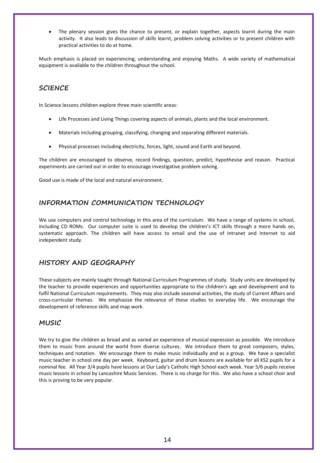The plenary session gives the chance to present, or explain together, aspects learnt during the main activity. It also leads to discussion of skills learnt, problem solving activities or to present children with practical activities to do at home.

Much emphasis is placed on experiencing, understanding and enjoying Maths. A wide variety of mathematical equipment is available to the children throughout the school.

## **SCIENCE**

In Science lessons children explore three main scientific areas:

- Life Processes and Living Things covering aspects of animals, plants and the local environment.
- Materials including grouping, classifying, changing and separating different materials.
- Physical processes including electricity, forces, light, sound and Earth and beyond.

The children are encouraged to observe, record findings, question, predict, hypothesise and reason. Practical experiments are carried out in order to encourage investigative problem solving.

Good use is made of the local and natural environment.

## **INFORMATION COMMUNICATION TECHNOLOGY**

We use computers and control technology in this area of the curriculum. We have a range of systems in school, including CD ROMs. Our computer suite is used to develop the children's ICT skills through a more hands on, systematic approach. The children will have access to email and the use of Intranet and Internet to aid independent study.

## **HISTORY AND GEOGRAPHY**

These subjects are mainly taught through National Curriculum Programmes of study. Study units are developed by the teacher to provide experiences and opportunities appropriate to the children's age and development and to fulfil National Curriculum requirements. They may also include seasonal activities, the study of Current Affairs and cross-curricular themes. We emphasise the relevance of these studies to everyday life. We encourage the development of reference skills and map work.

## **MUSIC**

We try to give the children as broad and as varied an experience of musical expression as possible. We introduce them to music from around the world from diverse cultures. We introduce them to great composers, styles, techniques and notation. We encourage them to make music individually and as a group. We have a specialist music teacher in school one day per week. Keyboard, guitar and drum lessons are available for all KS2 pupils for a nominal fee. All Year 3/4 pupils have lessons at Our Lady's Catholic High School each week. Year 5/6 pupils receive music lessons in school by Lancashire Music Services. There is no charge for this. We also have a school choir and this is proving to be very popular.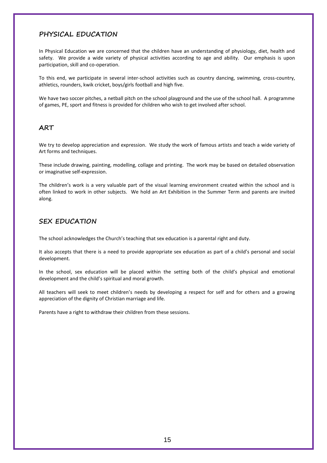## **PHYSICAL EDUCATION**

In Physical Education we are concerned that the children have an understanding of physiology, diet, health and safety. We provide a wide variety of physical activities according to age and ability. Our emphasis is upon participation, skill and co-operation.

To this end, we participate in several inter-school activities such as country dancing, swimming, cross-country, athletics, rounders, kwik cricket, boys/girls football and high five.

We have two soccer pitches, a netball pitch on the school playground and the use of the school hall. A programme of games, PE, sport and fitness is provided for children who wish to get involved after school.

## **ART**

We try to develop appreciation and expression. We study the work of famous artists and teach a wide variety of Art forms and techniques.

These include drawing, painting, modelling, collage and printing. The work may be based on detailed observation or imaginative self-expression.

The children's work is a very valuable part of the visual learning environment created within the school and is often linked to work in other subjects. We hold an Art Exhibition in the Summer Term and parents are invited along.

## **SEX EDUCATION**

The school acknowledges the Church's teaching that sex education is a parental right and duty.

It also accepts that there is a need to provide appropriate sex education as part of a child's personal and social development.

In the school, sex education will be placed within the setting both of the child's physical and emotional development and the child's spiritual and moral growth.

All teachers will seek to meet children's needs by developing a respect for self and for others and a growing appreciation of the dignity of Christian marriage and life.

Parents have a right to withdraw their children from these sessions.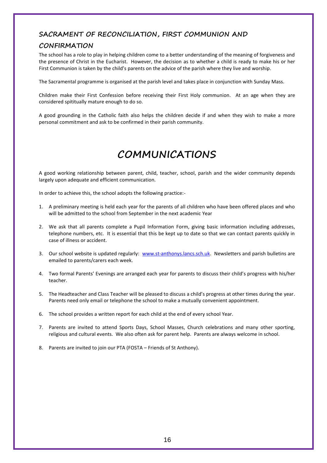## **SACRAMENT OF RECONCILIATION, FIRST COMMUNION AND**

## **CONFIRMATION**

The school has a role to play in helping children come to a better understanding of the meaning of forgiveness and the presence of Christ in the Eucharist. However, the decision as to whether a child is ready to make his or her First Communion is taken by the child's parents on the advice of the parish where they live and worship.

The Sacramental programme is organised at the parish level and takes place in conjunction with Sunday Mass.

Children make their First Confession before receiving their First Holy communion. At an age when they are considered spititually mature enough to do so.

A good grounding in the Catholic faith also helps the children decide if and when they wish to make a more personal commitment and ask to be confirmed in their parish community.

## **COMMUNICATIONS**

A good working relationship between parent, child, teacher, school, parish and the wider community depends largely upon adequate and efficient communication.

In order to achieve this, the school adopts the following practice:-

- 1. A preliminary meeting is held each year for the parents of all children who have been offered places and who will be admitted to the school from September in the next academic Year
- 2. We ask that all parents complete a Pupil Information Form, giving basic information including addresses, telephone numbers, etc. It is essential that this be kept up to date so that we can contact parents quickly in case of illness or accident.
- 3. Our school website is updated regularly: [www.st-anthonys.lancs.sch.uk.](http://www.st-anthonys.lancs.sch.uk/) Newsletters and parish bulletins are emailed to parents/carers each week.
- 4. Two formal Parents' Evenings are arranged each year for parents to discuss their child's progress with his/her teacher.
- 5. The Headteacher and Class Teacher will be pleased to discuss a child's progress at other times during the year. Parents need only email or telephone the school to make a mutually convenient appointment.
- 6. The school provides a written report for each child at the end of every school Year.
- 7. Parents are invited to attend Sports Days, School Masses, Church celebrations and many other sporting, religious and cultural events. We also often ask for parent help. Parents are always welcome in school.
- 8. Parents are invited to join our PTA (FOSTA Friends of St Anthony).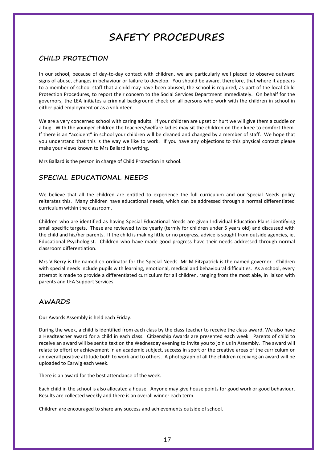## **SAFETY PROCEDURES**

## **CHILD PROTECTION**

In our school, because of day-to-day contact with children, we are particularly well placed to observe outward signs of abuse, changes in behaviour or failure to develop. You should be aware, therefore, that where it appears to a member of school staff that a child may have been abused, the school is required, as part of the local Child Protection Procedures, to report their concern to the Social Services Department immediately. On behalf for the governors, the LEA initiates a criminal background check on all persons who work with the children in school in either paid employment or as a volunteer.

We are a very concerned school with caring adults. If your children are upset or hurt we will give them a cuddle or a hug. With the younger children the teachers/welfare ladies may sit the children on their knee to comfort them. If there is an "accident" in school your children will be cleaned and changed by a member of staff. We hope that you understand that this is the way we like to work. If you have any objections to this physical contact please make your views known to Mrs Ballard in writing.

Mrs Ballard is the person in charge of Child Protection in school.

## **SPECIAL EDUCATIONAL NEEDS**

We believe that all the children are entitled to experience the full curriculum and our Special Needs policy reiterates this. Many children have educational needs, which can be addressed through a normal differentiated curriculum within the classroom.

Children who are identified as having Special Educational Needs are given Individual Education Plans identifying small specific targets. These are reviewed twice yearly (termly for children under 5 years old) and discussed with the child and his/her parents. If the child is making little or no progress, advice is sought from outside agencies, ie, Educational Psychologist. Children who have made good progress have their needs addressed through normal classroom differentiation.

Mrs V Berry is the named co-ordinator for the Special Needs. Mr M Fitzpatrick is the named governor. Children with special needs include pupils with learning, emotional, medical and behavioural difficulties. As a school, every attempt is made to provide a differentiated curriculum for all children, ranging from the most able, in liaison with parents and LEA Support Services.

## **AWARDS**

Our Awards Assembly is held each Friday.

During the week, a child is identified from each class by the class teacher to receive the class award. We also have a Headteacher award for a child in each class. Citizenship Awards are presented each week. Parents of child to receive an award will be sent a text on the Wednesday evening to invite you to join us in Assembly. The award will relate to effort or achievement in an academic subject, success in sport or the creative areas of the curriculum or an overall positive attitude both to work and to others. A photograph of all the children receiving an award will be uploaded to Earwig each week.

There is an award for the best attendance of the week.

Each child in the school is also allocated a house. Anyone may give house points for good work or good behaviour. Results are collected weekly and there is an overall winner each term.

Children are encouraged to share any success and achievements outside of school.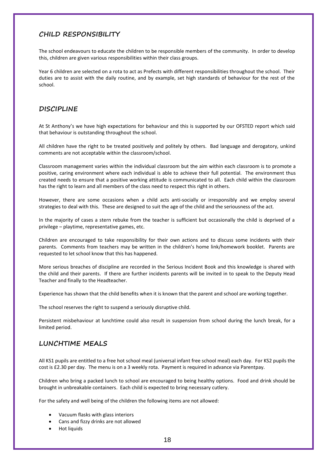## **CHILD RESPONSIBILITY**

The school endeavours to educate the children to be responsible members of the community. In order to develop this, children are given various responsibilities within their class groups.

Year 6 children are selected on a rota to act as Prefects with different responsibilities throughout the school. Their duties are to assist with the daily routine, and by example, set high standards of behaviour for the rest of the school.

## **DISCIPLINE**

At St Anthony's we have high expectations for behaviour and this is supported by our OFSTED report which said that behaviour is outstanding throughout the school.

All children have the right to be treated positively and politely by others. Bad language and derogatory, unkind comments are not acceptable within the classroom/school.

Classroom management varies within the individual classroom but the aim within each classroom is to promote a positive, caring environment where each individual is able to achieve their full potential. The environment thus created needs to ensure that a positive working attitude is communicated to all. Each child within the classroom has the right to learn and all members of the class need to respect this right in others.

However, there are some occasions when a child acts anti-socially or irresponsibly and we employ several strategies to deal with this. These are designed to suit the age of the child and the seriousness of the act.

In the majority of cases a stern rebuke from the teacher is sufficient but occasionally the child is deprived of a privilege – playtime, representative games, etc.

Children are encouraged to take responsibility for their own actions and to discuss some incidents with their parents. Comments from teachers may be written in the children's home link/homework booklet. Parents are requested to let school know that this has happened.

More serious breaches of discipline are recorded in the Serious Incident Book and this knowledge is shared with the child and their parents. If there are further incidents parents will be invited in to speak to the Deputy Head Teacher and finally to the Headteacher.

Experience has shown that the child benefits when it is known that the parent and school are working together.

The school reserves the right to suspend a seriously disruptive child.

Persistent misbehaviour at lunchtime could also result in suspension from school during the lunch break, for a limited period.

## **LUNCHTIME MEALS**

All KS1 pupils are entitled to a free hot school meal (universal infant free school meal) each day. For KS2 pupils the cost is £2.30 per day. The menu is on a 3 weekly rota. Payment is required in advance via Parentpay.

Children who bring a packed lunch to school are encouraged to being healthy options. Food and drink should be brought in unbreakable containers. Each child is expected to bring necessary cutlery.

For the safety and well being of the children the following items are not allowed:

- Vacuum flasks with glass interiors
- Cans and fizzy drinks are not allowed
- Hot liquids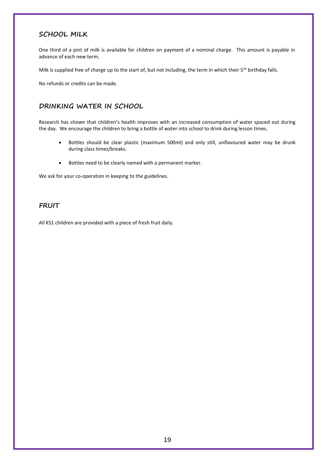## **SCHOOL MILK**

One third of a pint of milk is available for children on payment of a nominal charge. This amount is payable in advance of each new term.

Milk is supplied free of charge up to the start of, but not including, the term in which their 5<sup>th</sup> birthday falls.

No refunds or credits can be made.

## **DRINKING WATER IN SCHOOL**

Research has shown that children's health improves with an increased consumption of water spaced out during the day. We encourage the children to bring a bottle of water into school to drink during lesson times.

- Bottles should be clear plastic (maximum 500ml) and only still, unflavoured water may be drunk during class times/breaks.
- Bottles need to be clearly named with a permanent marker.

We ask for your co-operation in keeping to the guidelines.

## **FRUIT**

All KS1 children are provided with a piece of fresh fruit daily.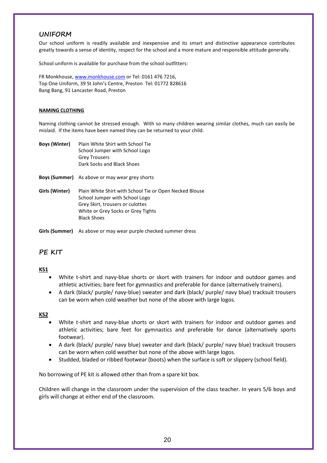## **UNIFORM**

Our school uniform is readily available and inexpensive and its smart and distinctive appearance contributes greatly towards a sense of identity, respect for the school and a more mature and responsible attitude generally.

School uniform is available for purchase from the school outfitters:

FR Monkhouse, [www.monkhouse.com](http://www.monkhouse.com/) or Tel: 0161 476 7216, Top One Uniform, 39 St John's Centre, Preston Tel: 01772 828616 Bang Bang, 91 Lancaster Road, Preston

#### **NAMING CLOTHING**

Naming clothing cannot be stressed enough. With so many children wearing similar clothes, much can easily be mislaid. If the items have been named they can be returned to your child.

| <b>Boys (Winter)</b> | Plain White Shirt with School Tie |
|----------------------|-----------------------------------|
|                      | School Jumper with School Logo    |
|                      | <b>Grey Trousers</b>              |
|                      | Dark Socks and Black Shoes        |

- **Boys (Summer)** As above or may wear grey shorts
- **Girls (Winter)** Plain White Shirt with School Tie or Open Necked Blouse School Jumper with School Logo Grey Skirt, trousers or culottes White or Grey Socks or Grey Tights Black Shoes

**Girls (Summer)** As above or may wear purple checked summer dress

## **PE KIT**

### **KS1**

- White t-shirt and navy-blue shorts or skort with trainers for indoor and outdoor games and athletic activities; bare feet for gymnastics and preferable for dance (alternatively trainers).
- A dark (black/ purple/ navy-blue) sweater and dark (black/ purple/ navy blue) tracksuit trousers can be worn when cold weather but none of the above with large logos.

#### **KS2**

- White t-shirt and navy-blue shorts or skort with trainers for indoor and outdoor games and athletic activities; bare feet for gymnastics and preferable for dance (alternatively sports footwear).
- A dark (black/ purple/ navy blue) sweater and dark (black/ purple/ navy blue) tracksuit trousers can be worn when cold weather but none of the above with large logos.
- Studded, bladed or ribbed footwear (boots) when the surface is soft or slippery (school field).

No borrowing of PE kit is allowed other than from a spare kit box.

Children will change in the classroom under the supervision of the class teacher. In years 5/6 boys and girls will change at either end of the classroom.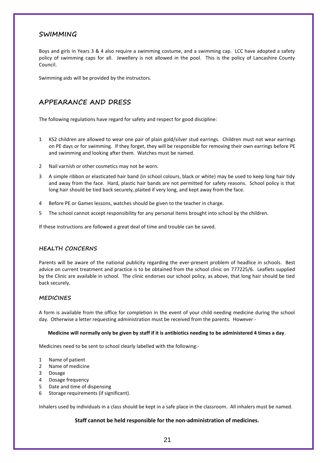## **SWIMMING**

Boys and girls in Years 3 & 4 also require a swimming costume, and a swimming cap. LCC have adopted a safety policy of swimming caps for all. Jewellery is not allowed in the pool. This is the policy of Lancashire County Council.

Swimming aids will be provided by the instructors.

## **APPEARANCE AND DRESS**

The following regulations have regard for safety and respect for good discipline:

- 1 KS2 children are allowed to wear one pair of plain gold/silver stud earrings. Children must not wear earrings on PE days or for swimming. If they forget, they will be responsible for removing their own earrings before PE and swimming and looking after them. Watches must be named.
- 2 Nail varnish or other cosmetics may not be worn.
- 3 A simple ribbon or elasticated hair band (in school colours, black or white) may be used to keep long hair tidy and away from the face. Hard, plastic hair bands are not permitted for safety reasons. School policy is that long hair should be tied back securely, plaited if very long, and kept away from the face.
- 4 Before PE or Games lessons, watches should be given to the teacher in charge.
- 5 The school cannot accept responsibility for any personal items brought into school by the children.

If these instructions are followed a great deal of time and trouble can be saved.

#### **HEALTH CONCERNS**

Parents will be aware of the national publicity regarding the ever-present problem of headlice in schools. Best advice on current treatment and practice is to be obtained from the school clinic on 777225/6. Leaflets supplied by the Clinic are available in school. The clinic endorses our school policy, as above, that long hair should be tied back securely.

#### **MEDICINES**

A form is available from the office for completion in the event of your child needing medicine during the school day. Otherwise a letter requesting administration must be received from the parents. However -

#### **Medicine will normally only be given by staff if it is antibiotics needing to be administered 4 times a day**.

Medicines need to be sent to school clearly labelled with the following:-

- 1 Name of patient
- 2 Name of medicine
- 3 Dosage
- 4 Dosage frequency
- 5 Date and time of dispensing
- 6 Storage requirements (if significant).

Inhalers used by individuals in a class should be kept in a safe place in the classroom. All inhalers must be named.

#### **Staff cannot be held responsible for the non-administration of medicines.**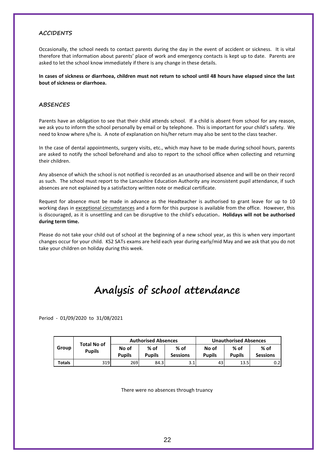## **ACCIDENTS**

Occasionally, the school needs to contact parents during the day in the event of accident or sickness. It is vital therefore that information about parents' place of work and emergency contacts is kept up to date. Parents are asked to let the school know immediately if there is any change in these details.

**In cases of sickness or diarrhoea, children must not return to school until 48 hours have elapsed since the last bout of sickness or diarrhoea.**

#### **ABSENCES**

Parents have an obligation to see that their child attends school. If a child is absent from school for any reason, we ask you to inform the school personally by email or by telephone. This is important for your child's safety. We need to know where s/he is. A note of explanation on his/her return may also be sent to the class teacher.

In the case of dental appointments, surgery visits, etc., which may have to be made during school hours, parents are asked to notify the school beforehand and also to report to the school office when collecting and returning their children.

Any absence of which the school is not notified is recorded as an unauthorised absence and will be on their record as such. The school must report to the Lancashire Education Authority any inconsistent pupil attendance, if such absences are not explained by a satisfactory written note or medical certificate.

Request for absence must be made in advance as the Headteacher is authorised to grant leave for up to 10 working days in exceptional circumstances and a form for this purpose is available from the office. However, this is discouraged, as it is unsettling and can be disruptive to the child's education**. Holidays will not be authorised during term time.**

Please do not take your child out of school at the beginning of a new school year, as this is when very important changes occur for your child. KS2 SATs exams are held each year during early/mid May and we ask that you do not take your children on holiday during this week.

## **Analysis of school attendance**

Period - 01/09/2020 to 31/08/2021

|        | <b>Total No of</b> |                        | <b>Authorised Absences</b> |                         | <b>Unauthorised Absences</b> |                       |                           |
|--------|--------------------|------------------------|----------------------------|-------------------------|------------------------------|-----------------------|---------------------------|
| Group  | <b>Pupils</b>      | No of<br><b>Pupils</b> | $%$ of<br><b>Pupils</b>    | % of<br><b>Sessions</b> | No of<br><b>Pupils</b>       | % of<br><b>Pupils</b> | $%$ of<br><b>Sessions</b> |
| Totals | 319 I              | 269                    | 84.3                       | 3.1                     | 431                          | 13.5                  | 0.2                       |

There were no absences through truancy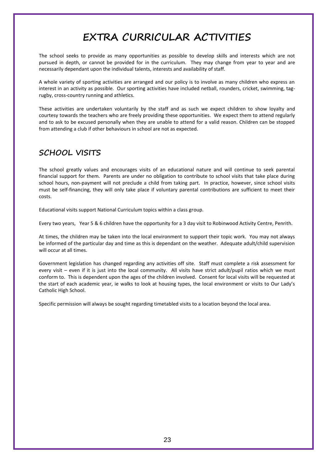## **EXTRA CURRICULAR ACTIVITIES**

The school seeks to provide as many opportunities as possible to develop skills and interests which are not pursued in depth, or cannot be provided for in the curriculum. They may change from year to year and are necessarily dependant upon the individual talents, interests and availability of staff.

A whole variety of sporting activities are arranged and our policy is to involve as many children who express an interest in an activity as possible. Our sporting activities have included netball, rounders, cricket, swimming, tagrugby, cross-country running and athletics.

These activities are undertaken voluntarily by the staff and as such we expect children to show loyalty and courtesy towards the teachers who are freely providing these opportunities. We expect them to attend regularly and to ask to be excused personally when they are unable to attend for a valid reason. Children can be stopped from attending a club if other behaviours in school are not as expected.

## **SCHOOL VISITS**

The school greatly values and encourages visits of an educational nature and will continue to seek parental financial support for them. Parents are under no obligation to contribute to school visits that take place during school hours, non-payment will not preclude a child from taking part. In practice, however, since school visits must be self-financing, they will only take place if voluntary parental contributions are sufficient to meet their costs.

Educational visits support National Curriculum topics within a class group.

Every two years, Year 5 & 6 children have the opportunity for a 3 day visit to Robinwood Activity Centre, Penrith.

At times, the children may be taken into the local environment to support their topic work. You may not always be informed of the particular day and time as this is dependant on the weather. Adequate adult/child supervision will occur at all times.

Government legislation has changed regarding any activities off site. Staff must complete a risk assessment for every visit – even if it is just into the local community. All visits have strict adult/pupil ratios which we must conform to. This is dependent upon the ages of the children involved. Consent for local visits will be requested at the start of each academic year, ie walks to look at housing types, the local environment or visits to Our Lady's Catholic High School.

Specific permission will always be sought regarding timetabled visits to a location beyond the local area.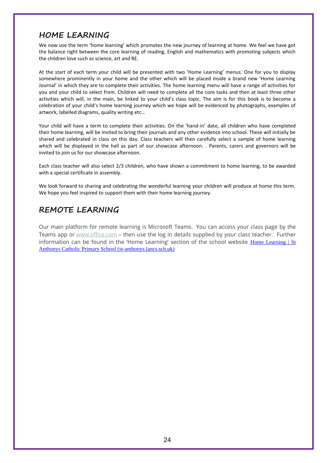## **HOME LEARNING**

We now use the term 'home learning' which promotes the new journey of learning at home. We feel we have got the balance right between the core learning of reading, English and mathematics with promoting subjects which the children love such as science, art and RE.

At the start of each term your child will be presented with two 'Home Learning' menus. One for you to display somewhere prominently in your home and the other which will be placed inside a brand new 'Home Learning Journal' in which they are to complete their activities. The home learning menu will have a range of activities for you and your child to select from. Children will need to complete all the core tasks and then at least three other activities which will, in the main, be linked to your child's class topic. The aim is for this book is to become a celebration of your child's home learning journey which we hope will be evidenced by photographs, examples of artwork, labelled diagrams, quality writing etc…

Your child will have a term to complete their activities. On the 'hand-in' date, all children who have completed their home learning, will be invited to bring their journals and any other evidence into school. These will initially be shared and celebrated in class on this day. Class teachers will then carefully select a sample of home learning which will be displayed in the hall as part of our showcase afternoon. . Parents, carers and governors will be invited to join us for our showcase afternoon.

Each class teacher will also select 2/3 children, who have shown a commitment to home learning, to be awarded with a special certificate in assembly.

We look forward to sharing and celebrating the wonderful learning your children will produce at home this term. We hope you feel inspired to support them with their home learning journey.

## **REMOTE LEARNING**

Our main platform for remote learning is Microsoft Teams. You can access your class page by the Teams app or [www.office.com](http://www.office.com/) - then use the log in details supplied by your class teacher. Further information can be found in the 'Home Learning' section of the school website Home Learning  $\vert$  St [Anthonys Catholic Primary School \(st-anthonys.lancs.sch.uk\)](http://www.st-anthonys.lancs.sch.uk/home-learning/)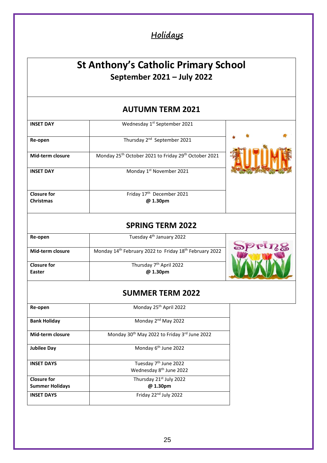## **Holidays**

## **St Anthony's Catholic Primary School September 2021 – July 2022**

## **AUTUMN TERM 2021**

| <b>INSET DAY</b>                       | Wednesday 1 <sup>st</sup> September 2021                                     |  |
|----------------------------------------|------------------------------------------------------------------------------|--|
| Re-open                                | Thursday 2 <sup>nd</sup> September 2021                                      |  |
| Mid-term closure                       | Monday 25 <sup>th</sup> October 2021 to Friday 29 <sup>th</sup> October 2021 |  |
| <b>INSET DAY</b>                       | Monday 1 <sup>st</sup> November 2021                                         |  |
| <b>Closure for</b><br><b>Christmas</b> | Friday 17 <sup>th</sup> December 2021<br>@ 1.30pm                            |  |
|                                        |                                                                              |  |

## **SPRING TERM 2022**

| Re-open            | Tuesday 4 <sup>th</sup> January 2022                                           |               |
|--------------------|--------------------------------------------------------------------------------|---------------|
|                    |                                                                                | $\neg$ or $R$ |
| Mid-term closure   | Monday 14 <sup>th</sup> February 2022 to Friday 18 <sup>th</sup> February 2022 |               |
|                    |                                                                                |               |
| <b>Closure for</b> | Thursday 7 <sup>th</sup> April 2022                                            |               |
| <b>Easter</b>      | @ 1.30pm                                                                       |               |
|                    |                                                                                |               |

## **SUMMER TERM 2022**

| Re-open                | Monday 25 <sup>th</sup> April 2022                                       |
|------------------------|--------------------------------------------------------------------------|
| <b>Bank Holiday</b>    | Monday 2 <sup>nd</sup> May 2022                                          |
| Mid-term closure       | Monday 30 <sup>th</sup> May 2022 to Friday 3 <sup>rd</sup> June 2022     |
| <b>Jubilee Day</b>     | Monday 6 <sup>th</sup> June 2022                                         |
| <b>INSET DAYS</b>      | Tuesday 7 <sup>th</sup> June 2022<br>Wednesday 8 <sup>th</sup> June 2022 |
| <b>Closure for</b>     | Thursday 21 <sup>st</sup> July 2022                                      |
| <b>Summer Holidays</b> | @ 1.30pm                                                                 |
| <b>INSET DAYS</b>      | Friday 22 <sup>nd</sup> July 2022                                        |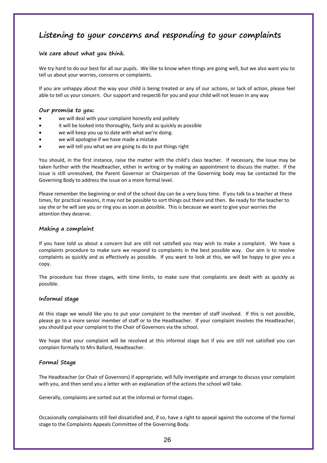## **Listening to your concerns and responding to your complaints**

#### **We care about what you think.**

We try hard to do our best for all our pupils. We like to know when things are going well, but we also want you to tell us about your worries, concerns or complaints.

If you are unhappy about the way your child is being treated or any of our actions, or lack of action, please feel able to tell us your concern. Our support and respect6 for you and your child will not lessen in any way

#### **Our promise to you:**

- we will deal with your complaint honestly and politely
- it will be looked into thoroughly, fairly and as quickly as possible
- we will keep you up to date with what we're doing.
- we will apologise if we have made a mistake
- we will tell you what we are going to do to put things right

You should, in the first instance, raise the matter with the child's class teacher. If necessary, the issue may be taken further with the Headteacher, either in writing or by making an appointment to discuss the matter. If the issue is still unresolved, the Parent Governor or Chairperson of the Governing body may be contacted for the Governing Body to address the issue on a more formal level.

Please remember the beginning or end of the school day can be a very busy time. If you talk to a teacher at these times, for practical reasons, it may not be possible to sort things out there and then. Be ready for the teacher to say she or he will see you or ring you as soon as possible. This is because we want to give your worries the attention they deserve.

### **Making a complaint**

If you have told us about a concern but are still not satisfied you may wish to make a complaint. We have a complaints procedure to make sure we respond to complaints in the best possible way. Our aim is to resolve complaints as quickly and as effectively as possible. If you want to look at this, we will be happy to give you a copy.

The procedure has three stages, with time limits, to make sure that complaints are dealt with as quickly as possible.

### **Informal stage**

At this stage we would like you to put your complaint to the member of staff involved. If this is not possible, please go to a more senior member of staff or to the Headteacher. If your complaint involves the Headteacher, you should put your complaint to the Chair of Governors via the school.

We hope that your complaint will be resolved at this informal stage but if you are still not satisfied you can complain formally to Mrs Ballard, Headteacher.

### **Formal Stage**

The Headteacher (or Chair of Governors) if appropriate, will fully investigate and arrange to discuss your complaint with you, and then send you a letter with an explanation of the actions the school will take.

Generally, complaints are sorted out at the informal or formal stages.

Occasionally complainants still feel dissatisfied and, if so, have a right to appeal against the outcome of the formal stage to the Complaints Appeals Committee of the Governing Body.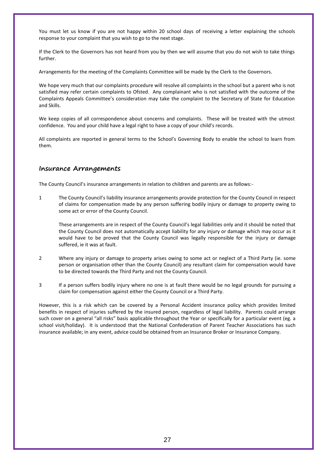You must let us know if you are not happy within 20 school days of receiving a letter explaining the schools response to your complaint that you wish to go to the next stage.

If the Clerk to the Governors has not heard from you by then we will assume that you do not wish to take things further.

Arrangements for the meeting of the Complaints Committee will be made by the Clerk to the Governors.

We hope very much that our complaints procedure will resolve all complaints in the school but a parent who is not satisfied may refer certain complaints to Ofsted. Any complainant who is not satisfied with the outcome of the Complaints Appeals Committee's consideration may take the complaint to the Secretary of State for Education and Skills.

We keep copies of all correspondence about concerns and complaints. These will be treated with the utmost confidence. You and your child have a legal right to have a copy of your child's records.

All complaints are reported in general terms to the School's Governing Body to enable the school to learn from them.

## **Insurance Arrangements**

The County Council's insurance arrangements in relation to children and parents are as follows:-

1 The County Council's liability insurance arrangements provide protection for the County Council in respect of claims for compensation made by any person suffering bodily injury or damage to property owing to some act or error of the County Council.

These arrangements are in respect of the County Council's legal liabilities only and it should be noted that the County Council does not automatically accept liability for any injury or damage which may occur as it would have to be proved that the County Council was legally responsible for the injury or damage suffered, ie it was at fault.

- 2 Where any injury or damage to property arises owing to some act or neglect of a Third Party (ie. some person or organisation other than the County Council) any resultant claim for compensation would have to be directed towards the Third Party and not the County Council.
- 3 If a person suffers bodily injury where no one is at fault there would be no legal grounds for pursuing a claim for compensation against either the County Council or a Third Party.

However, this is a risk which can be covered by a Personal Accident insurance policy which provides limited benefits in respect of injuries suffered by the insured person, regardless of legal liability. Parents could arrange such cover on a general "all risks" basis applicable throughout the Year or specifically for a particular event (eg. a school visit/holiday). It is understood that the National Confederation of Parent Teacher Associations has such insurance available; in any event, advice could be obtained from an Insurance Broker or Insurance Company.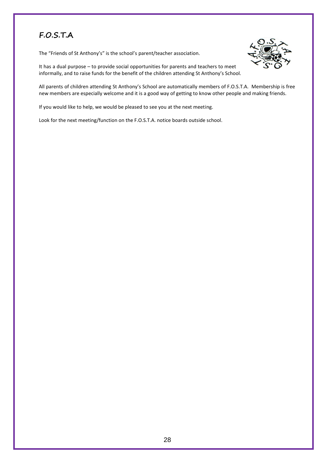## **F.O.S.T.A**

The "Friends of St Anthony's" is the school's parent/teacher association.



It has a dual purpose – to provide social opportunities for parents and teachers to meet informally, and to raise funds for the benefit of the children attending St Anthony's School.

All parents of children attending St Anthony's School are automatically members of F.O.S.T.A. Membership is free new members are especially welcome and it is a good way of getting to know other people and making friends.

If you would like to help, we would be pleased to see you at the next meeting.

Look for the next meeting/function on the F.O.S.T.A. notice boards outside school.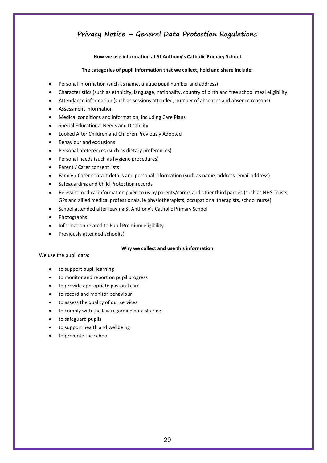## **Privacy Notice – General Data Protection Regulations**

#### **How we use information at St Anthony's Catholic Primary School**

#### **The categories of pupil information that we collect, hold and share include:**

- Personal information (such as name, unique pupil number and address)
- Characteristics (such as ethnicity, language, nationality, country of birth and free school meal eligibility)
- Attendance information (such as sessions attended, number of absences and absence reasons)
- Assessment information
- Medical conditions and information, including Care Plans
- Special Educational Needs and Disability
- Looked After Children and Children Previously Adopted
- Behaviour and exclusions
- Personal preferences (such as dietary preferences)
- Personal needs (such as hygiene procedures)
- Parent / Carer consent lists
- Family / Carer contact details and personal information (such as name, address, email address)
- Safeguarding and Child Protection records
- Relevant medical information given to us by parents/carers and other third parties (such as NHS Trusts, GPs and allied medical professionals, ie physiotherapists, occupational therapists, school nurse)
- School attended after leaving St Anthony's Catholic Primary School
- Photographs
- Information related to Pupil Premium eligibility
- Previously attended school(s)

#### **Why we collect and use this information**

We use the pupil data:

- to support pupil learning
- to monitor and report on pupil progress
- to provide appropriate pastoral care
- to record and monitor behaviour
- to assess the quality of our services
- to comply with the law regarding data sharing
- to safeguard pupils
- to support health and wellbeing
- to promote the school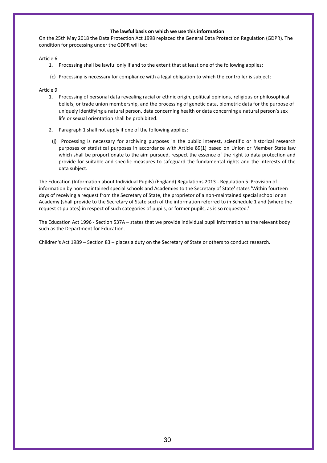#### **The lawful basis on which we use this information**

On the 25th May 2018 the Data Protection Act 1998 replaced the General Data Protection Regulation (GDPR). The condition for processing under the GDPR will be:

Article 6

- 1. Processing shall be lawful only if and to the extent that at least one of the following applies:
- (c) Processing is necessary for compliance with a legal obligation to which the controller is subject;

Article 9

- 1. Processing of personal data revealing racial or ethnic origin, political opinions, religious or philosophical beliefs, or trade union membership, and the processing of genetic data, biometric data for the purpose of uniquely identifying a natural person, data concerning health or data concerning a natural person's sex life or sexual orientation shall be prohibited.
- 2. Paragraph 1 shall not apply if one of the following applies:
- (j) Processing is necessary for archiving purposes in the public interest, scientific or historical research purposes or statistical purposes in accordance with Article 89(1) based on Union or Member State law which shall be proportionate to the aim pursued, respect the essence of the right to data protection and provide for suitable and specific measures to safeguard the fundamental rights and the interests of the data subject.

The Education (Information about Individual Pupils) (England) Regulations 2013 - Regulation 5 'Provision of information by non-maintained special schools and Academies to the Secretary of State' states 'Within fourteen days of receiving a request from the Secretary of State, the proprietor of a non-maintained special school or an Academy (shall provide to the Secretary of State such of the information referred to in Schedule 1 and (where the request stipulates) in respect of such categories of pupils, or former pupils, as is so requested.'

The Education Act 1996 - Section 537A – states that we provide individual pupil information as the relevant body such as the Department for Education.

Children's Act 1989 – Section 83 – places a duty on the Secretary of State or others to conduct research.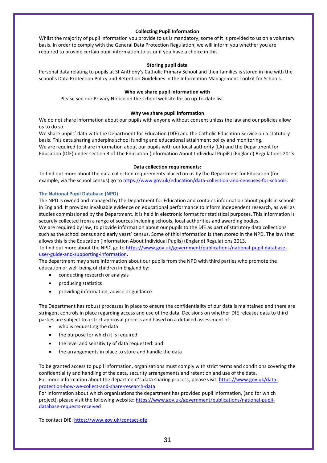#### **Collecting Pupil Information**

Whilst the majority of pupil information you provide to us is mandatory, some of it is provided to us on a voluntary basis. In order to comply with the General Data Protection Regulation, we will inform you whether you are required to provide certain pupil information to us or if you have a choice in this.

#### **Storing pupil data**

Personal data relating to pupils at St Anthony's Catholic Primary School and their families is stored in line with the school's Data Protection Policy and Retention Guidelines in the Information Management Toolkit for Schools.

#### **Who we share pupil information with**

Please see our Privacy Notice on the school website for an up-to-date list.

#### **Why we share pupil information**

We do not share information about our pupils with anyone without consent unless the law and our policies allow us to do so.

We share pupils' data with the Department for Education (DfE) and the Catholic Education Service on a statutory basis. This data sharing underpins school funding and educational attainment policy and monitoring.

We are required to share information about our pupils with our local authority (LA) and the Department for Education (DfE) under section 3 of The Education (Information About Individual Pupils) (England) Regulations 2013.

#### **Data collection requirements:**

To find out more about the data collection requirements placed on us by the Department for Education (for example; via the school census) go t[o https://www.gov.uk/education/data-collection-and-censuses-for-schools.](https://www.gov.uk/education/data-collection-and-censuses-for-schools)

#### **The National Pupil Database (NPD)**

The NPD is owned and managed by the Department for Education and contains information about pupils in schools in England. It provides invaluable evidence on educational performance to inform independent research, as well as studies commissioned by the Department. It is held in electronic format for statistical purposes. This information is securely collected from a range of sources including schools, local authorities and awarding bodies.

We are required by law, to provide information about our pupils to the DfE as part of statutory data collections such as the school census and early years' census. Some of this information is then stored in the NPD. The law that allows this is the Education (Information About Individual Pupils) (England) Regulations 2013.

To find out more about the NPD, go to [https://www.gov.uk/government/publications/national-pupil-database](https://www.gov.uk/government/publications/national-pupil-database-user-guide-and-supporting-information)[user-guide-and-supporting-information.](https://www.gov.uk/government/publications/national-pupil-database-user-guide-and-supporting-information)

The department may share information about our pupils from the NPD with third parties who promote the education or well-being of children in England by:

- conducting research or analysis
- producing statistics
- providing information, advice or guidance

The Department has robust processes in place to ensure the confidentiality of our data is maintained and there are stringent controls in place regarding access and use of the data. Decisions on whether DfE releases data to third parties are subject to a strict approval process and based on a detailed assessment of:

- who is requesting the data
- the purpose for which it is required
- the level and sensitivity of data requested: and
- the arrangements in place to store and handle the data

To be granted access to pupil information, organisations must comply with strict terms and conditions covering the confidentiality and handling of the data, security arrangements and retention and use of the data. For more information about the department's data sharing process, please visit[: https://www.gov.uk/data](https://www.gov.uk/data-protection-how-we-collect-and-share-research-data)[protection-how-we-collect-and-share-research-data](https://www.gov.uk/data-protection-how-we-collect-and-share-research-data)

For information about which organisations the department has provided pupil information, (and for which project), please visit the following website: [https://www.gov.uk/government/publications/national-pupil](https://www.gov.uk/government/publications/national-pupil-database-requests-received)[database-requests-received](https://www.gov.uk/government/publications/national-pupil-database-requests-received)

To contact DfE:<https://www.gov.uk/contact-dfe>